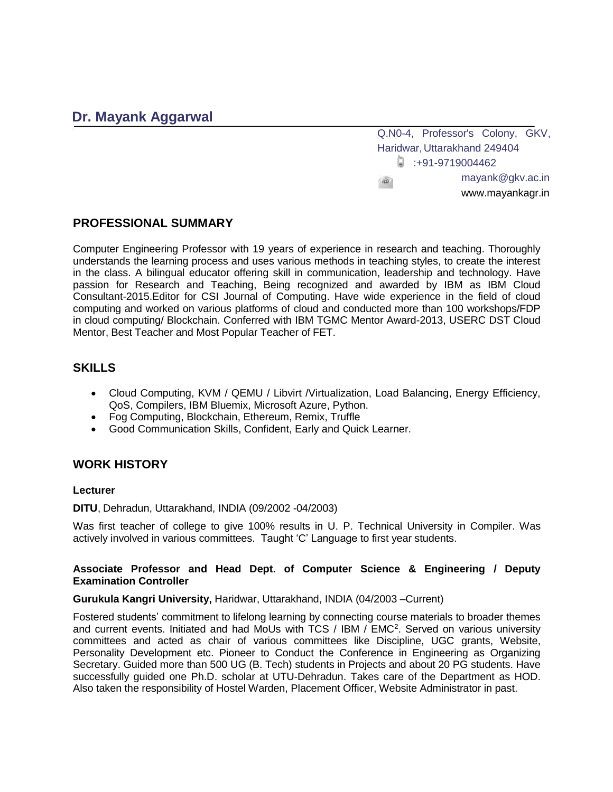# **Dr. Mayank Aggarwal**

Q.N0-4, Professor's Colony, GKV, Haridwar, Uttarakhand 249404  $\Box$ : +91-9719004462 mayank@gkv.ac.in  $\overline{AB}$ www.mayankagr.in

## **PROFESSIONAL SUMMARY**

Computer Engineering Professor with 19 years of experience in research and teaching. Thoroughly understands the learning process and uses various methods in teaching styles, to create the interest in the class. A bilingual educator offering skill in communication, leadership and technology. Have passion for Research and Teaching, Being recognized and awarded by IBM as IBM Cloud Consultant-2015.Editor for CSI Journal of Computing. Have wide experience in the field of cloud computing and worked on various platforms of cloud and conducted more than 100 workshops/FDP in cloud computing/ Blockchain. Conferred with IBM TGMC Mentor Award-2013, USERC DST Cloud Mentor, Best Teacher and Most Popular Teacher of FET.

## **SKILLS**

- Cloud Computing, KVM / QEMU / Libvirt / Virtualization, Load Balancing, Energy Efficiency, QoS, Compilers, IBM Bluemix, Microsoft Azure, Python.
- Fog Computing, Blockchain, Ethereum, Remix, Truffle
- Good Communication Skills, Confident, Early and Quick Learner.

## **WORK HISTORY**

#### **Lecturer**

**DITU**, Dehradun, Uttarakhand, INDIA (09/2002 -04/2003)

Was first teacher of college to give 100% results in U. P. Technical University in Compiler. Was actively involved in various committees. Taught 'C' Language to first year students.

#### **Associate Professor and Head Dept. of Computer Science & Engineering / Deputy Examination Controller**

#### **Gurukula Kangri University,** Haridwar, Uttarakhand, INDIA (04/2003 –Current)

Fostered students' commitment to lifelong learning by connecting course materials to broader themes and current events. Initiated and had MoUs with TCS / IBM / EMC<sup>2</sup>. Served on various university committees and acted as chair of various committees like Discipline, UGC grants, Website, Personality Development etc. Pioneer to Conduct the Conference in Engineering as Organizing Secretary. Guided more than 500 UG (B. Tech) students in Projects and about 20 PG students. Have successfully guided one Ph.D. scholar at UTU-Dehradun. Takes care of the Department as HOD. Also taken the responsibility of Hostel Warden, Placement Officer, Website Administrator in past.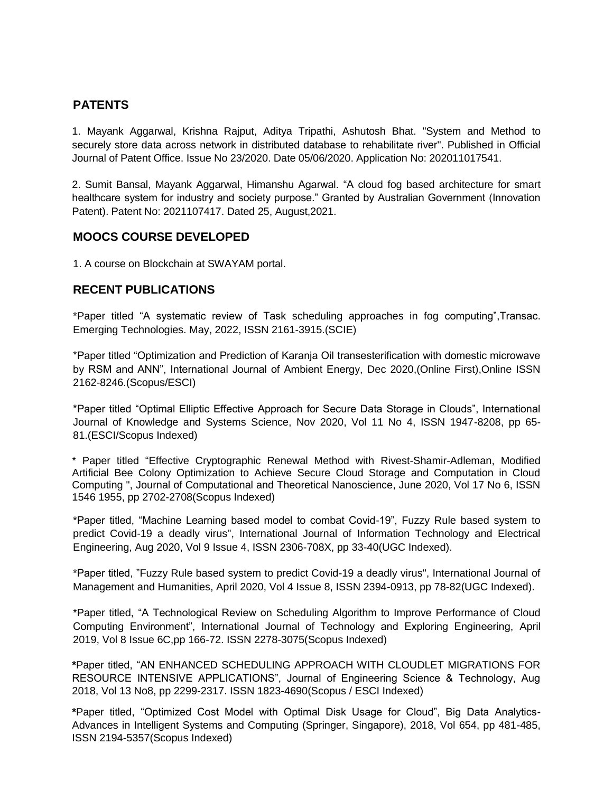## **PATENTS**

1. Mayank Aggarwal, Krishna Rajput, Aditya Tripathi, Ashutosh Bhat. "System and Method to securely store data across network in distributed database to rehabilitate river". Published in Official Journal of Patent Office. Issue No 23/2020. Date 05/06/2020. Application No: 202011017541.

2. Sumit Bansal, Mayank Aggarwal, Himanshu Agarwal. "A cloud fog based architecture for smart healthcare system for industry and society purpose." Granted by Australian Government (Innovation Patent). Patent No: 2021107417. Dated 25, August,2021.

## **MOOCS COURSE DEVELOPED**

1. A course on Blockchain at SWAYAM portal.

## **RECENT PUBLICATIONS**

\*Paper titled "A systematic review of Task scheduling approaches in fog computing",Transac. Emerging Technologies. May, 2022, ISSN 2161-3915.(SCIE)

\*Paper titled "Optimization and Prediction of Karanja Oil transesterification with domestic microwave by RSM and ANN", International Journal of Ambient Energy, Dec 2020,(Online First),Online ISSN 2162-8246.(Scopus/ESCI)

\*Paper titled "Optimal Elliptic Effective Approach for Secure Data Storage in Clouds", International Journal of Knowledge and Systems Science, Nov 2020, Vol 11 No 4, ISSN 1947-8208, pp 65- 81.(ESCI/Scopus Indexed)

\* Paper titled "Effective Cryptographic Renewal Method with Rivest-Shamir-Adleman, Modified Artificial Bee Colony Optimization to Achieve Secure Cloud Storage and Computation in Cloud Computing ", Journal of Computational and Theoretical Nanoscience, June 2020, Vol 17 No 6, ISSN 1546 1955, pp 2702-2708(Scopus Indexed)

\*Paper titled, "Machine Learning based model to combat Covid-19", Fuzzy Rule based system to predict Covid-19 a deadly virus", International Journal of Information Technology and Electrical Engineering, Aug 2020, Vol 9 Issue 4, ISSN 2306-708X, pp 33-40(UGC Indexed).

\*Paper titled, "Fuzzy Rule based system to predict Covid-19 a deadly virus", International Journal of Management and Humanities, April 2020, Vol 4 Issue 8, ISSN 2394-0913, pp 78-82(UGC Indexed).

\*Paper titled, "A Technological Review on Scheduling Algorithm to Improve Performance of Cloud Computing Environment", International Journal of Technology and Exploring Engineering, April 2019, Vol 8 Issue 6C,pp 166-72. ISSN 2278-3075(Scopus Indexed)

**\***Paper titled, "AN ENHANCED SCHEDULING APPROACH WITH CLOUDLET MIGRATIONS FOR RESOURCE INTENSIVE APPLICATIONS", Journal of Engineering Science & Technology, Aug 2018, Vol 13 No8, pp 2299-2317. ISSN 1823-4690(Scopus / ESCI Indexed)

**\***Paper titled, "Optimized Cost Model with Optimal Disk Usage for Cloud", Big Data Analytics-Advances in Intelligent Systems and Computing (Springer, Singapore), 2018, Vol 654, pp 481-485, ISSN 2194-5357(Scopus Indexed)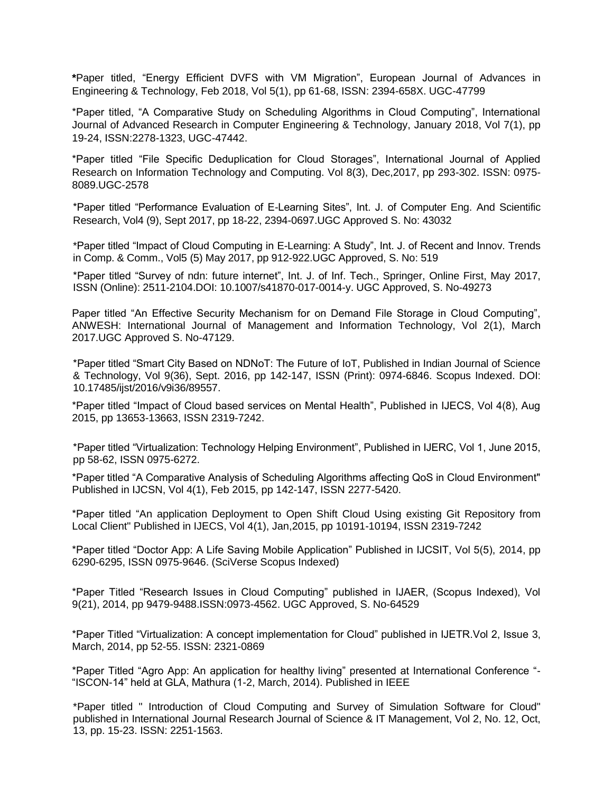**\***Paper titled, "Energy Efficient DVFS with VM Migration", European Journal of Advances in Engineering & Technology, Feb 2018, Vol 5(1), pp 61-68, ISSN: 2394-658X. UGC-47799

\*Paper titled, "A Comparative Study on Scheduling Algorithms in Cloud Computing", International Journal of Advanced Research in Computer Engineering & Technology, January 2018, Vol 7(1), pp 19-24, ISSN:2278-1323, UGC-47442.

\*Paper titled "File Specific Deduplication for Cloud Storages", International Journal of Applied Research on Information Technology and Computing. Vol 8(3), Dec,2017, pp 293-302. ISSN: 0975- 8089.UGC-2578

\*Paper titled "Performance Evaluation of E-Learning Sites", Int. J. of Computer Eng. And Scientific Research, Vol4 (9), Sept 2017, pp 18-22, 2394-0697.UGC Approved S. No: 43032

\*Paper titled "Impact of Cloud Computing in E-Learning: A Study", Int. J. of Recent and Innov. Trends in Comp. & Comm., Vol5 (5) May 2017, pp 912-922.UGC Approved, S. No: 519

\*Paper titled "Survey of ndn: future internet", Int. J. of Inf. Tech., Springer, Online First, May 2017, ISSN (Online): 2511-2104.DOI: 10.1007/s41870-017-0014-y. UGC Approved, S. No-49273

Paper titled "An Effective Security Mechanism for on Demand File Storage in Cloud Computing", ANWESH: International Journal of Management and Information Technology, Vol 2(1), March 2017.UGC Approved S. No-47129.

\*Paper titled "Smart City Based on NDNoT: The Future of IoT, Published in Indian Journal of Science & Technology, Vol 9(36), Sept. 2016, pp 142-147, ISSN (Print): 0974-6846. Scopus Indexed. DOI: 10.17485/ijst/2016/v9i36/89557.

\*Paper titled "Impact of Cloud based services on Mental Health", Published in IJECS, Vol 4(8), Aug 2015, pp 13653-13663, ISSN 2319-7242.

\*Paper titled "Virtualization: Technology Helping Environment", Published in IJERC, Vol 1, June 2015, pp 58-62, ISSN 0975-6272.

\*Paper titled "A Comparative Analysis of Scheduling Algorithms affecting QoS in Cloud Environment" Published in IJCSN, Vol 4(1), Feb 2015, pp 142-147, ISSN 2277-5420.

\*Paper titled "An application Deployment to Open Shift Cloud Using existing Git Repository from Local Client" Published in IJECS, Vol 4(1), Jan,2015, pp 10191-10194, ISSN 2319-7242

\*Paper titled "Doctor App: A Life Saving Mobile Application" Published in IJCSIT, Vol 5(5), 2014, pp 6290-6295, ISSN 0975-9646. (SciVerse Scopus Indexed)

\*Paper Titled "Research Issues in Cloud Computing" published in IJAER, (Scopus Indexed), Vol 9(21), 2014, pp 9479-9488.ISSN:0973-4562. UGC Approved, S. No-64529

\*Paper Titled "Virtualization: A concept implementation for Cloud" published in IJETR.Vol 2, Issue 3, March, 2014, pp 52-55. ISSN: 2321-0869

\*Paper Titled "Agro App: An application for healthy living" presented at International Conference "- "ISCON-14" held at GLA, Mathura (1-2, March, 2014). Published in IEEE

\*Paper titled " Introduction of Cloud Computing and Survey of Simulation Software for Cloud" published in International Journal Research Journal of Science & IT Management, Vol 2, No. 12, Oct, 13, pp. 15-23. ISSN: 2251-1563.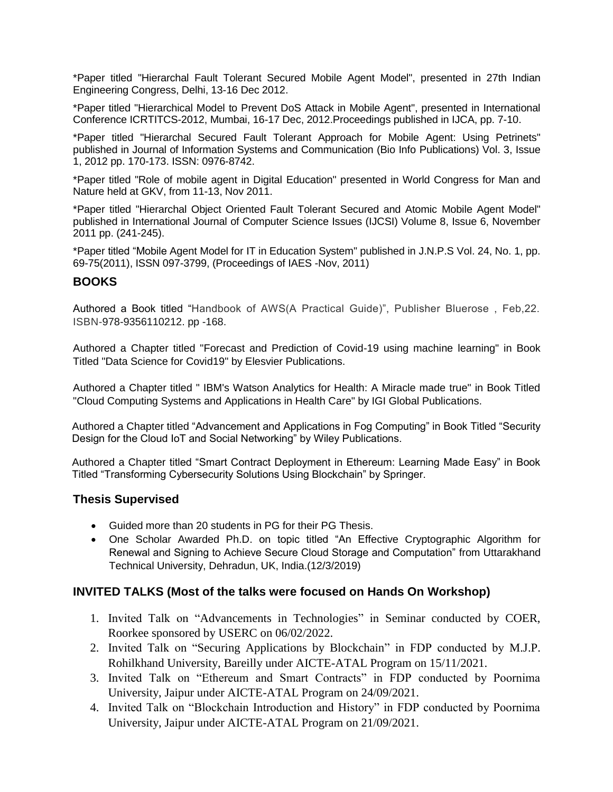\*Paper titled "Hierarchal Fault Tolerant Secured Mobile Agent Model", presented in 27th Indian Engineering Congress, Delhi, 13-16 Dec 2012.

\*Paper titled "Hierarchical Model to Prevent DoS Attack in Mobile Agent", presented in International Conference ICRTITCS-2012, Mumbai, 16-17 Dec, 2012.Proceedings published in IJCA, pp. 7-10.

\*Paper titled "Hierarchal Secured Fault Tolerant Approach for Mobile Agent: Using Petrinets" published in Journal of Information Systems and Communication (Bio Info Publications) Vol. 3, Issue 1, 2012 pp. 170-173. ISSN: 0976-8742.

\*Paper titled "Role of mobile agent in Digital Education" presented in World Congress for Man and Nature held at GKV, from 11-13, Nov 2011.

\*Paper titled "Hierarchal Object Oriented Fault Tolerant Secured and Atomic Mobile Agent Model" published in International Journal of Computer Science Issues (IJCSI) Volume 8, Issue 6, November 2011 pp. (241-245).

\*Paper titled "Mobile Agent Model for IT in Education System" published in J.N.P.S Vol. 24, No. 1, pp. 69-75(2011), ISSN 097-3799, (Proceedings of IAES -Nov, 2011)

### **BOOKS**

Authored a Book titled "Handbook of AWS(A Practical Guide)", Publisher Bluerose , Feb,22. ISBN-978-9356110212. pp -168.

Authored a Chapter titled "Forecast and Prediction of Covid-19 using machine learning" in Book Titled "Data Science for Covid19" by Elesvier Publications.

Authored a Chapter titled " IBM's Watson Analytics for Health: A Miracle made true" in Book Titled "Cloud Computing Systems and Applications in Health Care" by IGI Global Publications.

Authored a Chapter titled "Advancement and Applications in Fog Computing" in Book Titled "Security Design for the Cloud IoT and Social Networking" by Wiley Publications.

Authored a Chapter titled "Smart Contract Deployment in Ethereum: Learning Made Easy" in Book Titled "Transforming Cybersecurity Solutions Using Blockchain" by Springer.

### **Thesis Supervised**

- Guided more than 20 students in PG for their PG Thesis.
- One Scholar Awarded Ph.D. on topic titled "An Effective Cryptographic Algorithm for Renewal and Signing to Achieve Secure Cloud Storage and Computation" from Uttarakhand Technical University, Dehradun, UK, India.(12/3/2019)

### **INVITED TALKS (Most of the talks were focused on Hands On Workshop)**

- 1. Invited Talk on "Advancements in Technologies" in Seminar conducted by COER, Roorkee sponsored by USERC on 06/02/2022.
- 2. Invited Talk on "Securing Applications by Blockchain" in FDP conducted by M.J.P. Rohilkhand University, Bareilly under AICTE-ATAL Program on 15/11/2021.
- 3. Invited Talk on "Ethereum and Smart Contracts" in FDP conducted by Poornima University, Jaipur under AICTE-ATAL Program on 24/09/2021.
- 4. Invited Talk on "Blockchain Introduction and History" in FDP conducted by Poornima University, Jaipur under AICTE-ATAL Program on 21/09/2021.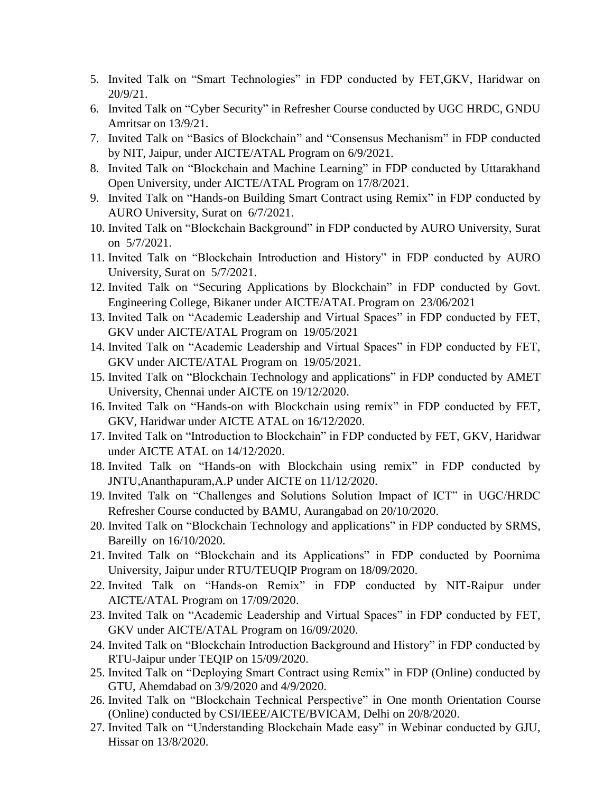- 5. Invited Talk on "Smart Technologies" in FDP conducted by FET,GKV, Haridwar on 20/9/21.
- 6. Invited Talk on "Cyber Security" in Refresher Course conducted by UGC HRDC, GNDU Amritsar on 13/9/21.
- 7. Invited Talk on "Basics of Blockchain" and "Consensus Mechanism" in FDP conducted by NIT, Jaipur, under AICTE/ATAL Program on 6/9/2021.
- 8. Invited Talk on "Blockchain and Machine Learning" in FDP conducted by Uttarakhand Open University, under AICTE/ATAL Program on 17/8/2021.
- 9. Invited Talk on "Hands-on Building Smart Contract using Remix" in FDP conducted by AURO University, Surat on 6/7/2021.
- 10. Invited Talk on "Blockchain Background" in FDP conducted by AURO University, Surat on 5/7/2021.
- 11. Invited Talk on "Blockchain Introduction and History" in FDP conducted by AURO University, Surat on 5/7/2021.
- 12. Invited Talk on "Securing Applications by Blockchain" in FDP conducted by Govt. Engineering College, Bikaner under AICTE/ATAL Program on 23/06/2021
- 13. Invited Talk on "Academic Leadership and Virtual Spaces" in FDP conducted by FET, GKV under AICTE/ATAL Program on 19/05/2021
- 14. Invited Talk on "Academic Leadership and Virtual Spaces" in FDP conducted by FET, GKV under AICTE/ATAL Program on 19/05/2021.
- 15. Invited Talk on "Blockchain Technology and applications" in FDP conducted by AMET University, Chennai under AICTE on 19/12/2020.
- 16. Invited Talk on "Hands-on with Blockchain using remix" in FDP conducted by FET, GKV, Haridwar under AICTE ATAL on 16/12/2020.
- 17. Invited Talk on "Introduction to Blockchain" in FDP conducted by FET, GKV, Haridwar under AICTE ATAL on 14/12/2020.
- 18. Invited Talk on "Hands-on with Blockchain using remix" in FDP conducted by JNTU,Ananthapuram,A.P under AICTE on 11/12/2020.
- 19. Invited Talk on "Challenges and Solutions Solution Impact of ICT" in UGC/HRDC Refresher Course conducted by BAMU, Aurangabad on 20/10/2020.
- 20. Invited Talk on "Blockchain Technology and applications" in FDP conducted by SRMS, Bareilly on 16/10/2020.
- 21. Invited Talk on "Blockchain and its Applications" in FDP conducted by Poornima University, Jaipur under RTU/TEUQIP Program on 18/09/2020.
- 22. Invited Talk on "Hands-on Remix" in FDP conducted by NIT-Raipur under AICTE/ATAL Program on 17/09/2020.
- 23. Invited Talk on "Academic Leadership and Virtual Spaces" in FDP conducted by FET, GKV under AICTE/ATAL Program on 16/09/2020.
- 24. Invited Talk on "Blockchain Introduction Background and History" in FDP conducted by RTU-Jaipur under TEQIP on 15/09/2020.
- 25. Invited Talk on "Deploying Smart Contract using Remix" in FDP (Online) conducted by GTU, Ahemdabad on 3/9/2020 and 4/9/2020.
- 26. Invited Talk on "Blockchain Technical Perspective" in One month Orientation Course (Online) conducted by CSI/IEEE/AICTE/BVICAM, Delhi on 20/8/2020.
- 27. Invited Talk on "Understanding Blockchain Made easy" in Webinar conducted by GJU, Hissar on 13/8/2020.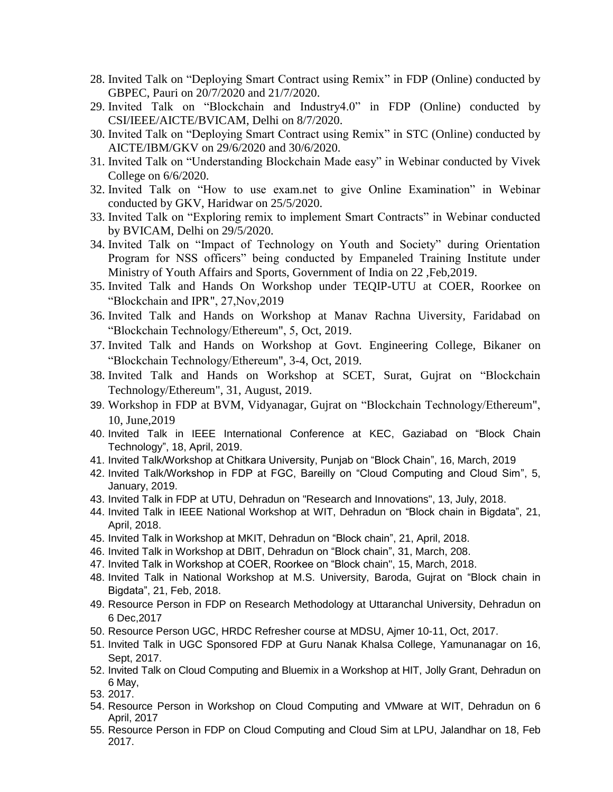- 28. Invited Talk on "Deploying Smart Contract using Remix" in FDP (Online) conducted by GBPEC, Pauri on 20/7/2020 and 21/7/2020.
- 29. Invited Talk on "Blockchain and Industry4.0" in FDP (Online) conducted by CSI/IEEE/AICTE/BVICAM, Delhi on 8/7/2020.
- 30. Invited Talk on "Deploying Smart Contract using Remix" in STC (Online) conducted by AICTE/IBM/GKV on 29/6/2020 and 30/6/2020.
- 31. Invited Talk on "Understanding Blockchain Made easy" in Webinar conducted by Vivek College on 6/6/2020.
- 32. Invited Talk on "How to use exam.net to give Online Examination" in Webinar conducted by GKV, Haridwar on 25/5/2020.
- 33. Invited Talk on "Exploring remix to implement Smart Contracts" in Webinar conducted by BVICAM, Delhi on 29/5/2020.
- 34. Invited Talk on "Impact of Technology on Youth and Society" during Orientation Program for NSS officers" being conducted by Empaneled Training Institute under Ministry of Youth Affairs and Sports, Government of India on 22 ,Feb,2019.
- 35. Invited Talk and Hands On Workshop under TEQIP-UTU at COER, Roorkee on "Blockchain and IPR", 27,Nov,2019
- 36. Invited Talk and Hands on Workshop at Manav Rachna Uiversity, Faridabad on "Blockchain Technology/Ethereum", 5, Oct, 2019.
- 37. Invited Talk and Hands on Workshop at Govt. Engineering College, Bikaner on "Blockchain Technology/Ethereum", 3-4, Oct, 2019.
- 38. Invited Talk and Hands on Workshop at SCET, Surat, Gujrat on "Blockchain Technology/Ethereum", 31, August, 2019.
- 39. Workshop in FDP at BVM, Vidyanagar, Gujrat on "Blockchain Technology/Ethereum", 10, June,2019
- 40. Invited Talk in IEEE International Conference at KEC, Gaziabad on "Block Chain Technology", 18, April, 2019.
- 41. Invited Talk/Workshop at Chitkara University, Punjab on "Block Chain", 16, March, 2019
- 42. Invited Talk/Workshop in FDP at FGC, Bareilly on "Cloud Computing and Cloud Sim", 5, January, 2019.
- 43. Invited Talk in FDP at UTU, Dehradun on "Research and Innovations", 13, July, 2018.
- 44. Invited Talk in IEEE National Workshop at WIT, Dehradun on "Block chain in Bigdata", 21, April, 2018.
- 45. Invited Talk in Workshop at MKIT, Dehradun on "Block chain", 21, April, 2018.
- 46. Invited Talk in Workshop at DBIT, Dehradun on "Block chain", 31, March, 208.
- 47. Invited Talk in Workshop at COER, Roorkee on "Block chain", 15, March, 2018.
- 48. Invited Talk in National Workshop at M.S. University, Baroda, Gujrat on "Block chain in Bigdata", 21, Feb, 2018.
- 49. Resource Person in FDP on Research Methodology at Uttaranchal University, Dehradun on 6 Dec,2017
- 50. Resource Person UGC, HRDC Refresher course at MDSU, Ajmer 10-11, Oct, 2017.
- 51. Invited Talk in UGC Sponsored FDP at Guru Nanak Khalsa College, Yamunanagar on 16, Sept, 2017.
- 52. Invited Talk on Cloud Computing and Bluemix in a Workshop at HIT, Jolly Grant, Dehradun on 6 May,
- 53. 2017.
- 54. Resource Person in Workshop on Cloud Computing and VMware at WIT, Dehradun on 6 April, 2017
- 55. Resource Person in FDP on Cloud Computing and Cloud Sim at LPU, Jalandhar on 18, Feb 2017.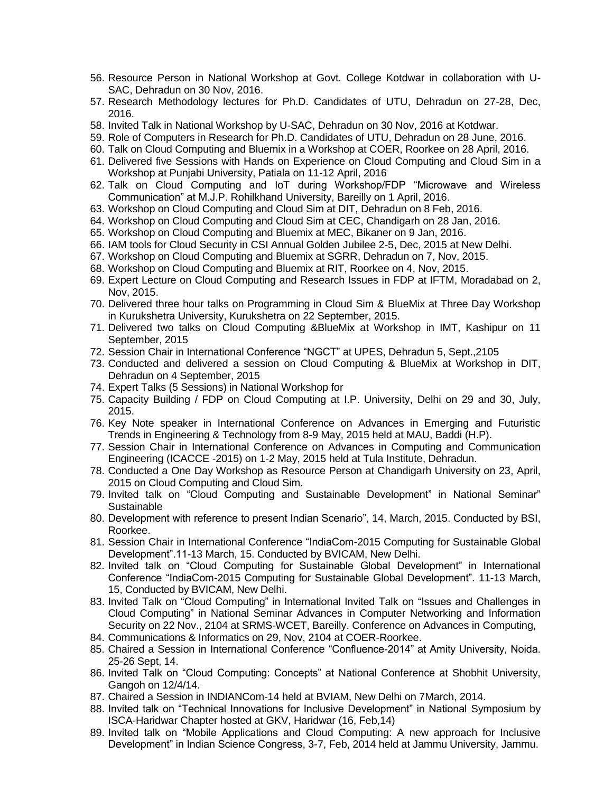- 56. Resource Person in National Workshop at Govt. College Kotdwar in collaboration with U-SAC, Dehradun on 30 Nov, 2016.
- 57. Research Methodology lectures for Ph.D. Candidates of UTU, Dehradun on 27-28, Dec, 2016.
- 58. Invited Talk in National Workshop by U-SAC, Dehradun on 30 Nov, 2016 at Kotdwar.
- 59. Role of Computers in Research for Ph.D. Candidates of UTU, Dehradun on 28 June, 2016.
- 60. Talk on Cloud Computing and Bluemix in a Workshop at COER, Roorkee on 28 April, 2016.
- 61. Delivered five Sessions with Hands on Experience on Cloud Computing and Cloud Sim in a Workshop at Punjabi University, Patiala on 11-12 April, 2016
- 62. Talk on Cloud Computing and IoT during Workshop/FDP "Microwave and Wireless Communication" at M.J.P. Rohilkhand University, Bareilly on 1 April, 2016.
- 63. Workshop on Cloud Computing and Cloud Sim at DIT, Dehradun on 8 Feb, 2016.
- 64. Workshop on Cloud Computing and Cloud Sim at CEC, Chandigarh on 28 Jan, 2016.
- 65. Workshop on Cloud Computing and Bluemix at MEC, Bikaner on 9 Jan, 2016.
- 66. IAM tools for Cloud Security in CSI Annual Golden Jubilee 2-5, Dec, 2015 at New Delhi.
- 67. Workshop on Cloud Computing and Bluemix at SGRR, Dehradun on 7, Nov, 2015.
- 68. Workshop on Cloud Computing and Bluemix at RIT, Roorkee on 4, Nov, 2015.
- 69. Expert Lecture on Cloud Computing and Research Issues in FDP at IFTM, Moradabad on 2, Nov, 2015.
- 70. Delivered three hour talks on Programming in Cloud Sim & BlueMix at Three Day Workshop in Kurukshetra University, Kurukshetra on 22 September, 2015.
- 71. Delivered two talks on Cloud Computing &BlueMix at Workshop in IMT, Kashipur on 11 September, 2015
- 72. Session Chair in International Conference "NGCT" at UPES, Dehradun 5, Sept.,2105
- 73. Conducted and delivered a session on Cloud Computing & BlueMix at Workshop in DIT, Dehradun on 4 September, 2015
- 74. Expert Talks (5 Sessions) in National Workshop for
- 75. Capacity Building / FDP on Cloud Computing at I.P. University, Delhi on 29 and 30, July, 2015.
- 76. Key Note speaker in International Conference on Advances in Emerging and Futuristic Trends in Engineering & Technology from 8-9 May, 2015 held at MAU, Baddi (H.P).
- 77. Session Chair in International Conference on Advances in Computing and Communication Engineering (ICACCE -2015) on 1-2 May, 2015 held at Tula Institute, Dehradun.
- 78. Conducted a One Day Workshop as Resource Person at Chandigarh University on 23, April, 2015 on Cloud Computing and Cloud Sim.
- 79. Invited talk on "Cloud Computing and Sustainable Development" in National Seminar" Sustainable
- 80. Development with reference to present Indian Scenario", 14, March, 2015. Conducted by BSI, Roorkee.
- 81. Session Chair in International Conference "IndiaCom-2015 Computing for Sustainable Global Development".11-13 March, 15. Conducted by BVICAM, New Delhi.
- 82. Invited talk on "Cloud Computing for Sustainable Global Development" in International Conference "IndiaCom-2015 Computing for Sustainable Global Development". 11-13 March, 15, Conducted by BVICAM, New Delhi.
- 83. Invited Talk on "Cloud Computing" in International Invited Talk on "Issues and Challenges in Cloud Computing" in National Seminar Advances in Computer Networking and Information Security on 22 Nov., 2104 at SRMS-WCET, Bareilly. Conference on Advances in Computing,
- 84. Communications & Informatics on 29, Nov, 2104 at COER-Roorkee.
- 85. Chaired a Session in International Conference "Confluence-2014" at Amity University, Noida. 25-26 Sept, 14.
- 86. Invited Talk on "Cloud Computing: Concepts" at National Conference at Shobhit University, Gangoh on 12/4/14.
- 87. Chaired a Session in INDIANCom-14 held at BVIAM, New Delhi on 7March, 2014.
- 88. Invited talk on "Technical Innovations for Inclusive Development" in National Symposium by ISCA-Haridwar Chapter hosted at GKV, Haridwar (16, Feb,14)
- 89. Invited talk on "Mobile Applications and Cloud Computing: A new approach for Inclusive Development" in Indian Science Congress, 3-7, Feb, 2014 held at Jammu University, Jammu.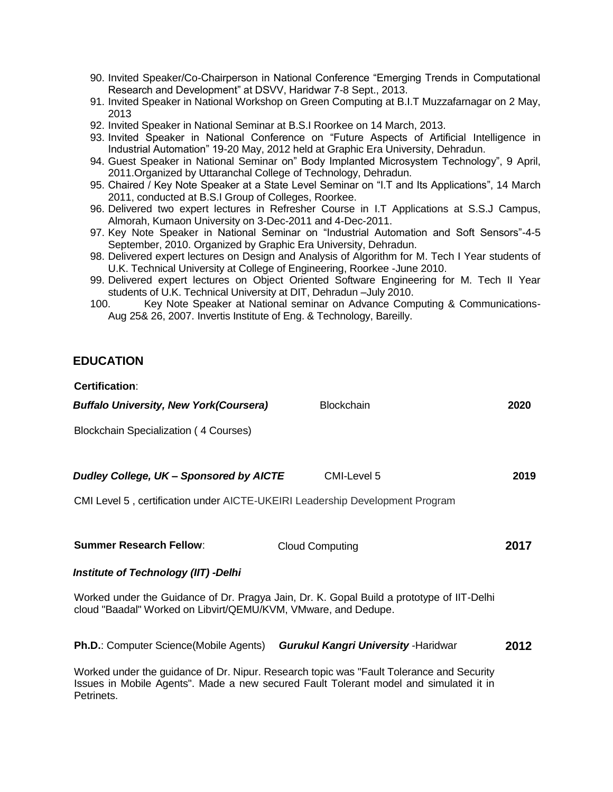- 90. Invited Speaker/Co-Chairperson in National Conference "Emerging Trends in Computational Research and Development" at DSVV, Haridwar 7-8 Sept., 2013.
- 91. Invited Speaker in National Workshop on Green Computing at B.I.T Muzzafarnagar on 2 May, 2013
- 92. Invited Speaker in National Seminar at B.S.I Roorkee on 14 March, 2013.
- 93. Invited Speaker in National Conference on "Future Aspects of Artificial Intelligence in Industrial Automation" 19-20 May, 2012 held at Graphic Era University, Dehradun.
- 94. Guest Speaker in National Seminar on" Body Implanted Microsystem Technology", 9 April, 2011.Organized by Uttaranchal College of Technology, Dehradun.
- 95. Chaired / Key Note Speaker at a State Level Seminar on "I.T and Its Applications", 14 March 2011, conducted at B.S.I Group of Colleges, Roorkee.
- 96. Delivered two expert lectures in Refresher Course in I.T Applications at S.S.J Campus, Almorah, Kumaon University on 3-Dec-2011 and 4-Dec-2011.
- 97. Key Note Speaker in National Seminar on "Industrial Automation and Soft Sensors"-4-5 September, 2010. Organized by Graphic Era University, Dehradun.
- 98. Delivered expert lectures on Design and Analysis of Algorithm for M. Tech I Year students of U.K. Technical University at College of Engineering, Roorkee -June 2010.
- 99. Delivered expert lectures on Object Oriented Software Engineering for M. Tech II Year students of U.K. Technical University at DIT, Dehradun –July 2010.
- 100. Key Note Speaker at National seminar on Advance Computing & Communications-Aug 25& 26, 2007. Invertis Institute of Eng. & Technology, Bareilly.

## **EDUCATION**

**Certification**:

| <b>Buffalo University, New York (Coursera)</b>                                                                                                                                                        | <b>Blockchain</b>                           | 2020 |
|-------------------------------------------------------------------------------------------------------------------------------------------------------------------------------------------------------|---------------------------------------------|------|
| Blockchain Specialization (4 Courses)                                                                                                                                                                 |                                             |      |
|                                                                                                                                                                                                       |                                             |      |
| Dudley College, UK - Sponsored by AICTE                                                                                                                                                               | CMI-Level 5                                 | 2019 |
| CMI Level 5, certification under AICTE-UKEIRI Leadership Development Program                                                                                                                          |                                             |      |
|                                                                                                                                                                                                       |                                             |      |
| <b>Summer Research Fellow:</b>                                                                                                                                                                        | <b>Cloud Computing</b>                      | 2017 |
| Institute of Technology (IIT) -Delhi                                                                                                                                                                  |                                             |      |
| Worked under the Guidance of Dr. Pragya Jain, Dr. K. Gopal Build a prototype of IIT-Delhi<br>cloud "Baadal" Worked on Libvirt/QEMU/KVM, VMware, and Dedupe.                                           |                                             |      |
| <b>Ph.D.: Computer Science (Mobile Agents)</b>                                                                                                                                                        | <b>Gurukul Kangri University - Haridwar</b> | 2012 |
| Worked under the guidance of Dr. Nipur. Research topic was "Fault Tolerance and Security<br>Issues in Mobile Agents". Made a new secured Fault Tolerant model and simulated it in<br><b>Petrinets</b> |                                             |      |